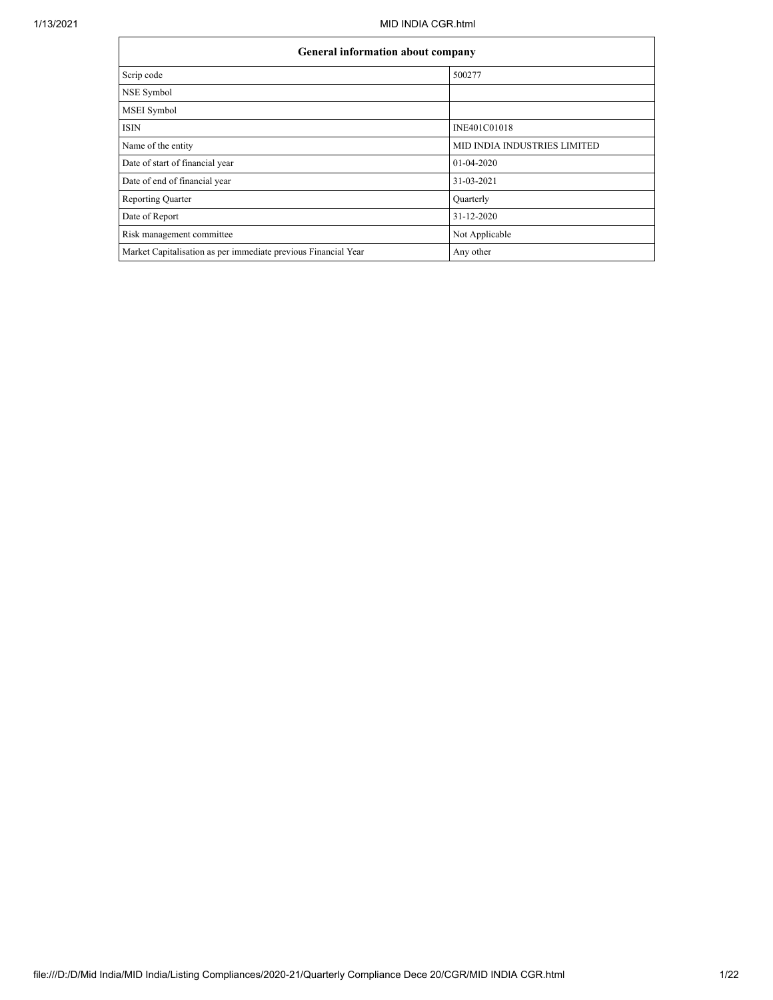| <b>General information about company</b>                       |                                     |  |  |  |  |  |  |
|----------------------------------------------------------------|-------------------------------------|--|--|--|--|--|--|
| Scrip code                                                     | 500277                              |  |  |  |  |  |  |
| NSE Symbol                                                     |                                     |  |  |  |  |  |  |
| MSEI Symbol                                                    |                                     |  |  |  |  |  |  |
| <b>ISIN</b>                                                    | INE401C01018                        |  |  |  |  |  |  |
| Name of the entity                                             | <b>MID INDIA INDUSTRIES LIMITED</b> |  |  |  |  |  |  |
| Date of start of financial year                                | 01-04-2020                          |  |  |  |  |  |  |
| Date of end of financial year                                  | 31-03-2021                          |  |  |  |  |  |  |
| <b>Reporting Quarter</b>                                       | Quarterly                           |  |  |  |  |  |  |
| Date of Report                                                 | 31-12-2020                          |  |  |  |  |  |  |
| Risk management committee                                      | Not Applicable                      |  |  |  |  |  |  |
| Market Capitalisation as per immediate previous Financial Year | Any other                           |  |  |  |  |  |  |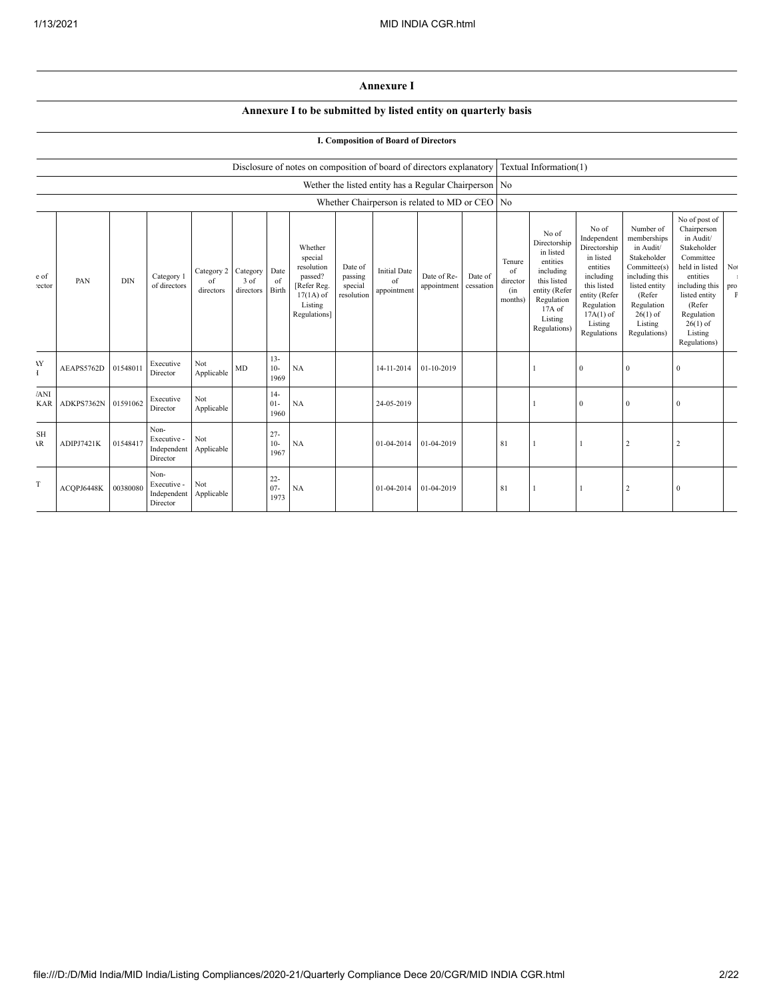## **Annexure I**

## **Annexure I to be submitted by listed entity on quarterly basis**

## **I. Composition of Board of Directors**

|                           |                     |            |                                                |                                        |                   |                          | Disclosure of notes on composition of board of directors explanatory                                 |                                             |                                          |                                                         |                      |                                            | Textual Information(1)                                                                                                                         |                                                                                                                                                                   |                                                                                                                                                                          |                                                                                                                                                                                                         |                           |
|---------------------------|---------------------|------------|------------------------------------------------|----------------------------------------|-------------------|--------------------------|------------------------------------------------------------------------------------------------------|---------------------------------------------|------------------------------------------|---------------------------------------------------------|----------------------|--------------------------------------------|------------------------------------------------------------------------------------------------------------------------------------------------|-------------------------------------------------------------------------------------------------------------------------------------------------------------------|--------------------------------------------------------------------------------------------------------------------------------------------------------------------------|---------------------------------------------------------------------------------------------------------------------------------------------------------------------------------------------------------|---------------------------|
|                           |                     |            |                                                |                                        |                   |                          |                                                                                                      |                                             |                                          | Wether the listed entity has a Regular Chairperson   No |                      |                                            |                                                                                                                                                |                                                                                                                                                                   |                                                                                                                                                                          |                                                                                                                                                                                                         |                           |
|                           |                     |            |                                                |                                        |                   |                          |                                                                                                      |                                             |                                          | Whether Chairperson is related to MD or CEO No          |                      |                                            |                                                                                                                                                |                                                                                                                                                                   |                                                                                                                                                                          |                                                                                                                                                                                                         |                           |
| e of<br>ector             | PAN                 | <b>DIN</b> | Category 1<br>of directors                     | Category 2 Category<br>of<br>directors | 3 of<br>directors | Date<br>of<br>Birth      | Whether<br>special<br>resolution<br>passed?<br>[Refer Reg.<br>$17(1A)$ of<br>Listing<br>Regulations] | Date of<br>passing<br>special<br>resolution | <b>Initial Date</b><br>of<br>appointment | Date of Re-<br>appointment                              | Date of<br>cessation | Tenure<br>of<br>director<br>(in<br>months) | No of<br>Directorship<br>in listed<br>entities<br>including<br>this listed<br>entity (Refer<br>Regulation<br>17A of<br>Listing<br>Regulations) | No of<br>Independent<br>Directorship<br>in listed<br>entities<br>including<br>this listed<br>entity (Refer<br>Regulation<br>$17A(1)$ of<br>Listing<br>Regulations | Number of<br>memberships<br>in Audit/<br>Stakeholder<br>Committee(s)<br>including this<br>listed entity<br>(Refer<br>Regulation<br>$26(1)$ of<br>Listing<br>Regulations) | No of post of<br>Chairperson<br>in Audit/<br>Stakeholder<br>Committee<br>held in listed<br>entities<br>including this<br>listed entity<br>(Refer<br>Regulation<br>$26(1)$ of<br>Listing<br>Regulations) | No<br>pro<br>$\mathbf{F}$ |
| <b>AY</b><br>Ŧ            | AEAPS5762D          | 01548011   | Executive<br>Director                          | Not<br>Applicable                      | MD                | $13 -$<br>$10-$<br>1969  | NA                                                                                                   |                                             | 14-11-2014                               | 01-10-2019                                              |                      |                                            |                                                                                                                                                | $\theta$                                                                                                                                                          | $\mathbf{0}$                                                                                                                                                             | $\mathbf{0}$                                                                                                                                                                                            |                           |
| 'ANI<br><b>KAR</b>        | ADKPS7362N 01591062 |            | Executive<br>Director                          | Not<br>Applicable                      |                   | $14-$<br>$01 -$<br>1960  | <b>NA</b>                                                                                            |                                             | 24-05-2019                               |                                                         |                      |                                            |                                                                                                                                                | $\Omega$                                                                                                                                                          | $\mathbf{0}$                                                                                                                                                             | $\mathbf{0}$                                                                                                                                                                                            |                           |
| <b>SH</b><br>$\mathbf{R}$ | ADIPJ7421K          | 01548417   | Non-<br>Executive -<br>Independent<br>Director | Not<br>Applicable                      |                   | $27 -$<br>$10-$<br>1967  | NA                                                                                                   |                                             | 01-04-2014                               | 01-04-2019                                              |                      | 81                                         |                                                                                                                                                |                                                                                                                                                                   | $\overline{2}$                                                                                                                                                           | $\overline{c}$                                                                                                                                                                                          |                           |
| T                         | ACQPJ6448K          | 00380080   | Non-<br>Executive -<br>Independent<br>Director | Not<br>Applicable                      |                   | $22 -$<br>$07 -$<br>1973 | NA                                                                                                   |                                             | 01-04-2014                               | 01-04-2019                                              |                      | 81                                         |                                                                                                                                                |                                                                                                                                                                   | $\overline{2}$                                                                                                                                                           | $\bf{0}$                                                                                                                                                                                                |                           |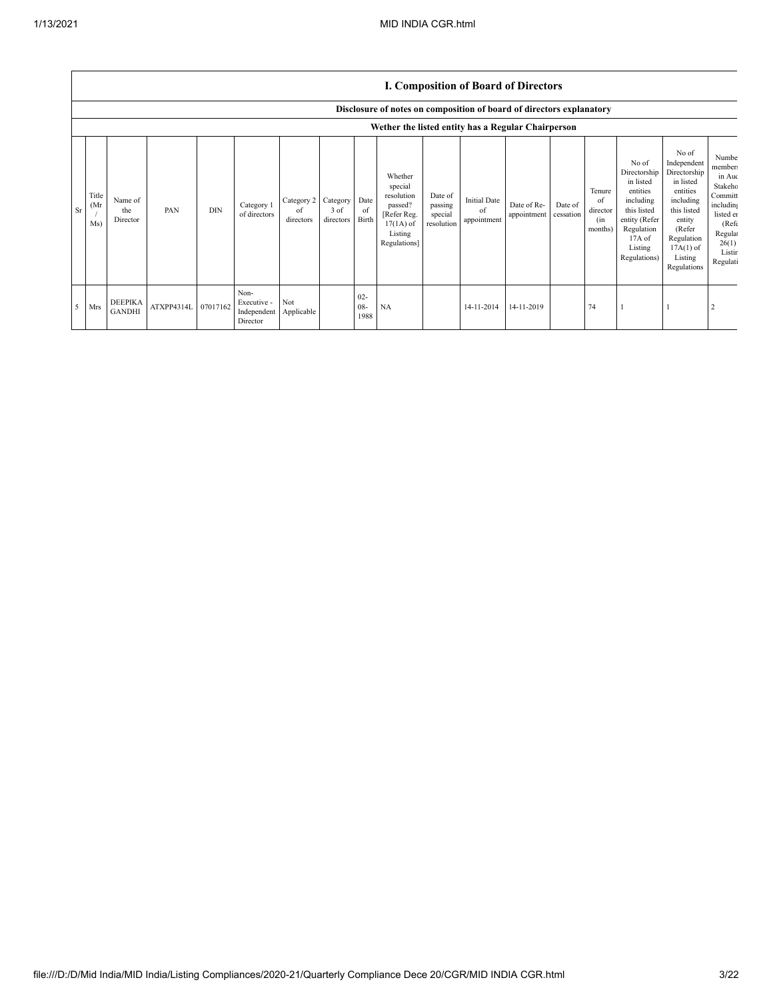|    |                      |                                 |                     |            |                                                |                               |                                 |                          | Disclosure of notes on composition of board of directors explanatory                                 |                                             |                                          |                            |                      |                                            |                                                                                                                                                  |                                                                                                                                                                      |                                                                                                                                            |
|----|----------------------|---------------------------------|---------------------|------------|------------------------------------------------|-------------------------------|---------------------------------|--------------------------|------------------------------------------------------------------------------------------------------|---------------------------------------------|------------------------------------------|----------------------------|----------------------|--------------------------------------------|--------------------------------------------------------------------------------------------------------------------------------------------------|----------------------------------------------------------------------------------------------------------------------------------------------------------------------|--------------------------------------------------------------------------------------------------------------------------------------------|
|    |                      |                                 |                     |            |                                                |                               |                                 |                          | Wether the listed entity has a Regular Chairperson                                                   |                                             |                                          |                            |                      |                                            |                                                                                                                                                  |                                                                                                                                                                      |                                                                                                                                            |
| Sr | Title<br>(Mr)<br>Ms) | Name of<br>the<br>Director      | PAN                 | <b>DIN</b> | Category 1<br>of directors                     | Category 2<br>of<br>directors | Category<br>$3$ of<br>directors | Date<br>of<br>Birth      | Whether<br>special<br>resolution<br>passed?<br>[Refer Reg.<br>$17(1A)$ of<br>Listing<br>Regulations] | Date of<br>passing<br>special<br>resolution | <b>Initial Date</b><br>of<br>appointment | Date of Re-<br>appointment | Date of<br>cessation | Tenure<br>of<br>director<br>(in<br>months) | No of<br>Directorship<br>in listed<br>entities<br>including<br>this listed<br>entity (Refer<br>Regulation<br>$17A$ of<br>Listing<br>Regulations) | No of<br>Independent<br>Directorship<br>in listed<br>entities<br>including<br>this listed<br>entity<br>(Refer<br>Regulation<br>$17A(1)$ of<br>Listing<br>Regulations | Numbe<br>member:<br>in Auc<br>Stakeho<br>Committ<br>including<br>listed en<br>(Ref <sub>f</sub> )<br>Regula<br>26(1)<br>Listir<br>Regulati |
| 5  | Mrs                  | <b>DEEPIKA</b><br><b>GANDHI</b> | ATXPP4314L 07017162 |            | Non-<br>Executive -<br>Independent<br>Director | Not<br>Applicable             |                                 | $02 -$<br>$08 -$<br>1988 | NA                                                                                                   |                                             | 14-11-2014                               | 14-11-2019                 |                      | 74                                         |                                                                                                                                                  |                                                                                                                                                                      |                                                                                                                                            |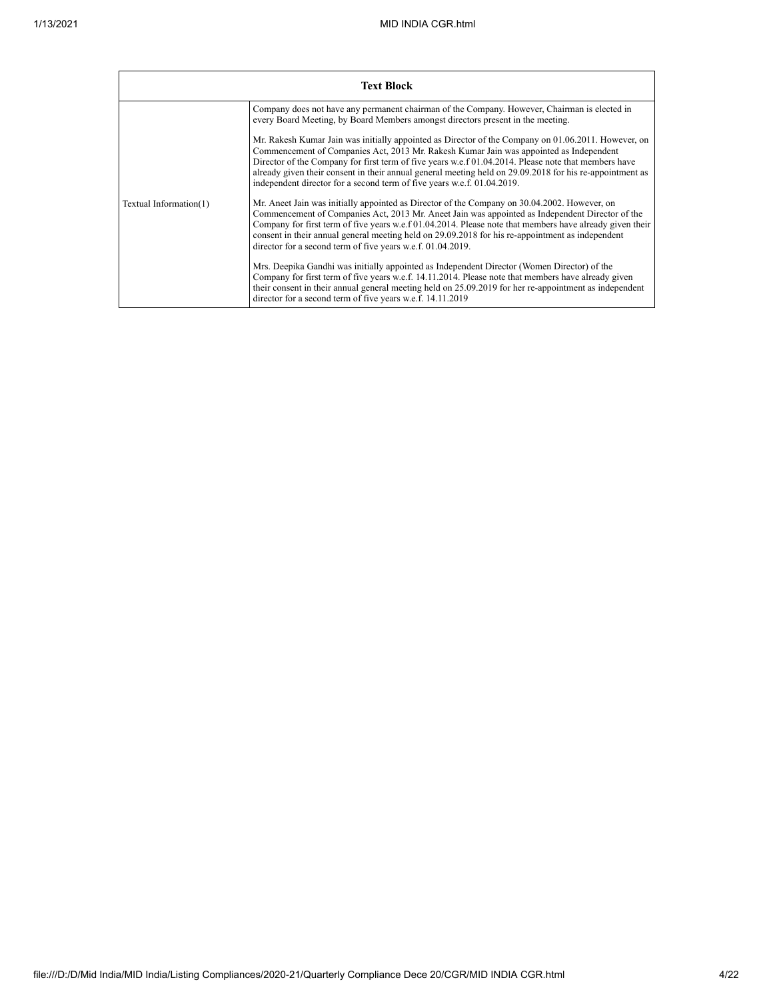|                        | <b>Text Block</b>                                                                                                                                                                                                                                                                                                                                                                                                                                                                            |
|------------------------|----------------------------------------------------------------------------------------------------------------------------------------------------------------------------------------------------------------------------------------------------------------------------------------------------------------------------------------------------------------------------------------------------------------------------------------------------------------------------------------------|
|                        | Company does not have any permanent chairman of the Company. However, Chairman is elected in<br>every Board Meeting, by Board Members amongst directors present in the meeting.                                                                                                                                                                                                                                                                                                              |
|                        | Mr. Rakesh Kumar Jain was initially appointed as Director of the Company on 01.06.2011. However, on<br>Commencement of Companies Act, 2013 Mr. Rakesh Kumar Jain was appointed as Independent<br>Director of the Company for first term of five years w.e.f 01.04.2014. Please note that members have<br>already given their consent in their annual general meeting held on 29.09.2018 for his re-appointment as<br>independent director for a second term of five years w.e.f. 01.04.2019. |
| Textual Information(1) | Mr. Aneet Jain was initially appointed as Director of the Company on 30.04.2002. However, on<br>Commencement of Companies Act, 2013 Mr. Aneet Jain was appointed as Independent Director of the<br>Company for first term of five years w.e.f 01.04.2014. Please note that members have already given their<br>consent in their annual general meeting held on 29.09.2018 for his re-appointment as independent<br>director for a second term of five years w.e.f. 01.04.2019.               |
|                        | Mrs. Deepika Gandhi was initially appointed as Independent Director (Women Director) of the<br>Company for first term of five years w.e.f. 14.11.2014. Please note that members have already given<br>their consent in their annual general meeting held on 25.09.2019 for her re-appointment as independent<br>director for a second term of five years w.e.f. 14.11.2019                                                                                                                   |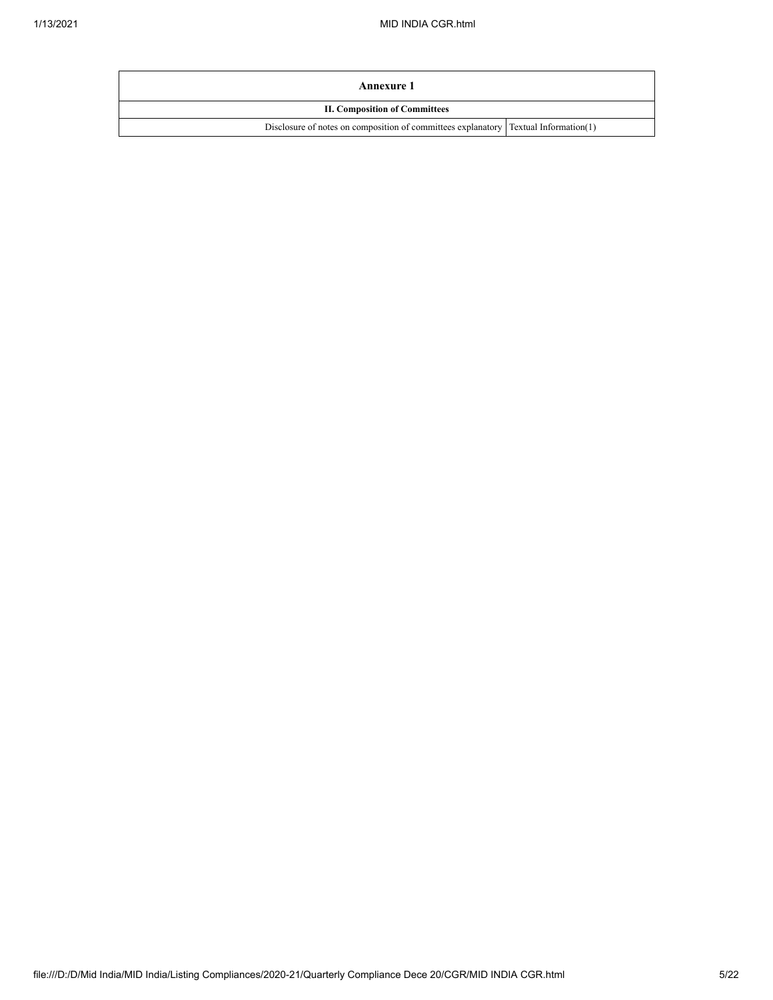| Annexure 1                                                                           |  |  |  |  |  |  |  |
|--------------------------------------------------------------------------------------|--|--|--|--|--|--|--|
| <b>II. Composition of Committees</b>                                                 |  |  |  |  |  |  |  |
| Disclosure of notes on composition of committees explanatory [Textual Information(1) |  |  |  |  |  |  |  |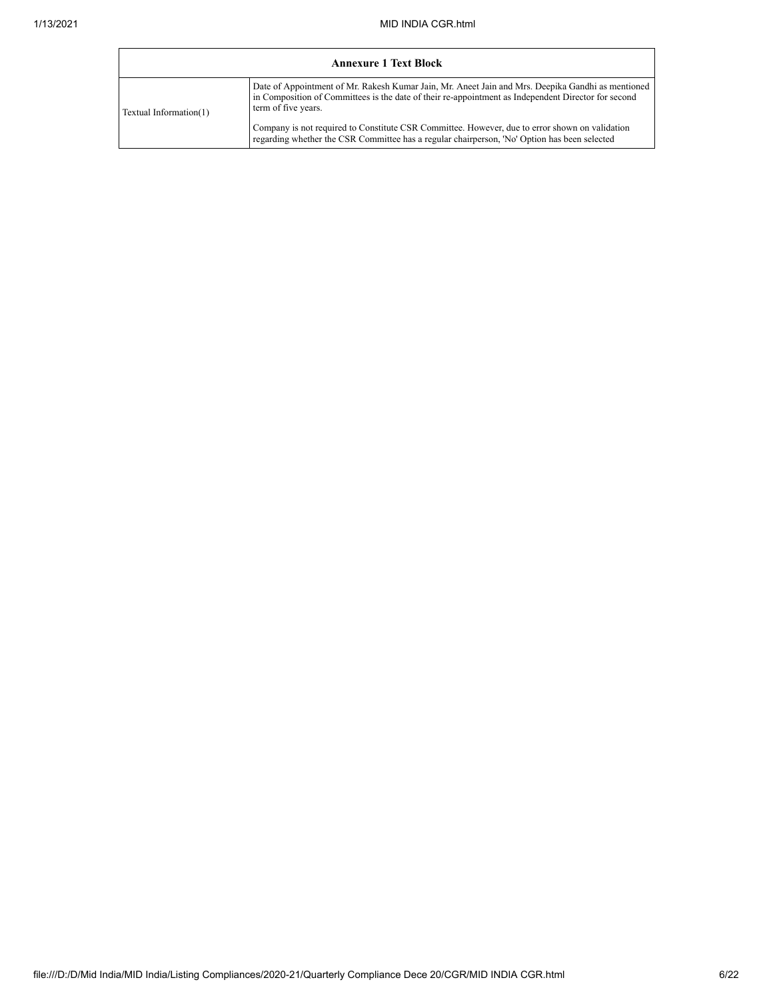|                        | <b>Annexure 1 Text Block</b>                                                                                                                                                                                                    |
|------------------------|---------------------------------------------------------------------------------------------------------------------------------------------------------------------------------------------------------------------------------|
| Textual Information(1) | Date of Appointment of Mr. Rakesh Kumar Jain, Mr. Aneet Jain and Mrs. Deepika Gandhi as mentioned<br>in Composition of Committees is the date of their re-appointment as Independent Director for second<br>term of five years. |
|                        | Company is not required to Constitute CSR Committee. However, due to error shown on validation<br>regarding whether the CSR Committee has a regular chairperson, 'No' Option has been selected                                  |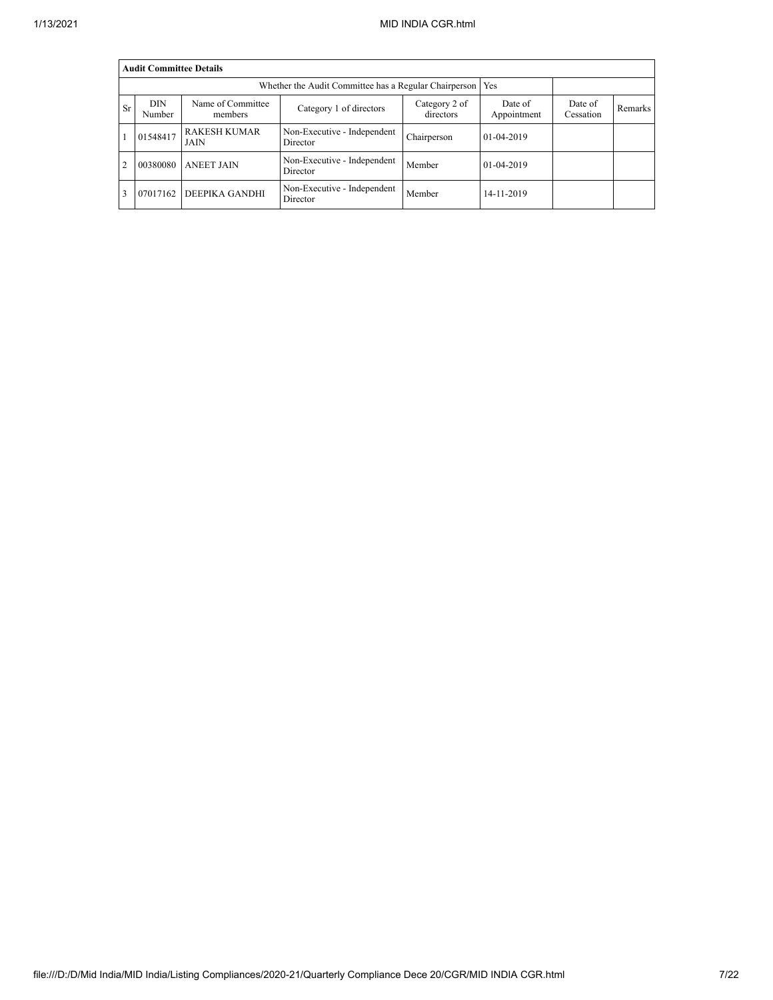|                | <b>Audit Committee Details</b> |                                    |                                         |                            |                        |                      |                |  |  |  |  |  |
|----------------|--------------------------------|------------------------------------|-----------------------------------------|----------------------------|------------------------|----------------------|----------------|--|--|--|--|--|
|                |                                |                                    |                                         |                            |                        |                      |                |  |  |  |  |  |
| <b>Sr</b>      | <b>DIN</b><br>Number           | Name of Committee<br>members       | Category 1 of directors                 | Category 2 of<br>directors | Date of<br>Appointment | Date of<br>Cessation | <b>Remarks</b> |  |  |  |  |  |
|                | 01548417                       | <b>RAKESH KUMAR</b><br><b>JAIN</b> | Non-Executive - Independent<br>Director | Chairperson                | 01-04-2019             |                      |                |  |  |  |  |  |
| $\overline{c}$ | 00380080                       | <b>ANEET JAIN</b>                  | Non-Executive - Independent<br>Director | Member                     | $01-04-2019$           |                      |                |  |  |  |  |  |
| 3              | 07017162                       | <b>DEEPIKA GANDHI</b>              | Non-Executive - Independent<br>Director | Member                     | 14-11-2019             |                      |                |  |  |  |  |  |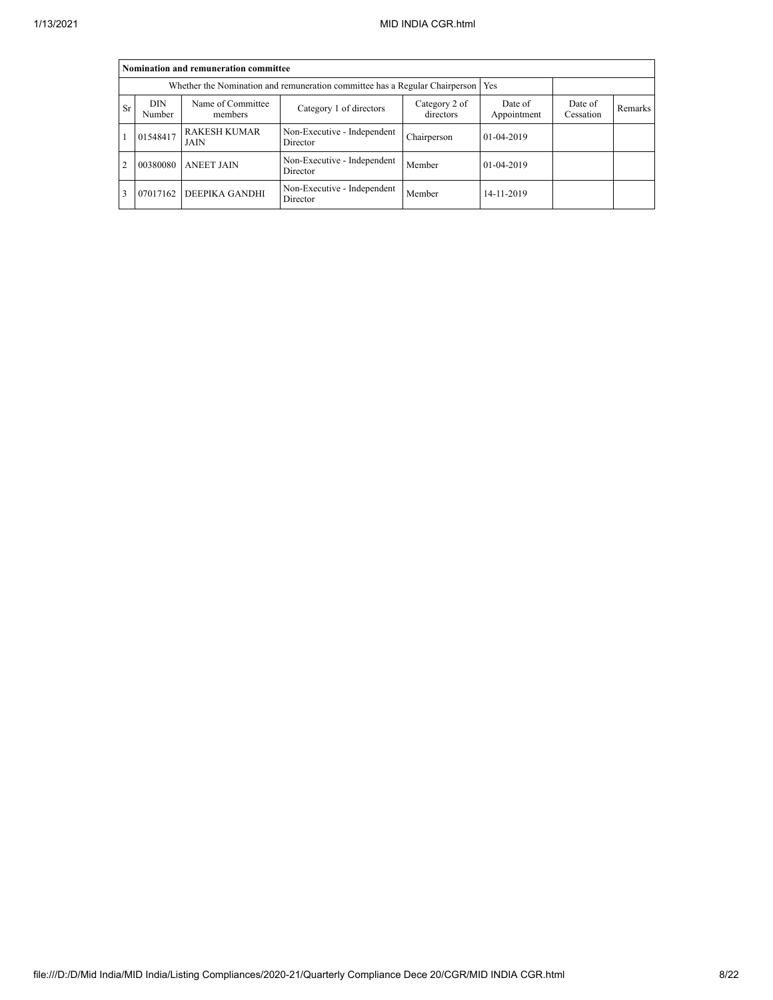|                | Nomination and remuneration committee                                             |                              |                                         |                            |                        |                      |         |  |  |  |  |  |
|----------------|-----------------------------------------------------------------------------------|------------------------------|-----------------------------------------|----------------------------|------------------------|----------------------|---------|--|--|--|--|--|
|                | Whether the Nomination and remuneration committee has a Regular Chairperson   Yes |                              |                                         |                            |                        |                      |         |  |  |  |  |  |
| <b>Sr</b>      | <b>DIN</b><br>Number                                                              | Name of Committee<br>members | Category 1 of directors                 | Category 2 of<br>directors | Date of<br>Appointment | Date of<br>Cessation | Remarks |  |  |  |  |  |
|                | 01548417                                                                          | <b>RAKESH KUMAR</b><br>JAIN  | Non-Executive - Independent<br>Director | Chairperson                | 01-04-2019             |                      |         |  |  |  |  |  |
| $\overline{c}$ | 00380080                                                                          | <b>ANEET JAIN</b>            | Non-Executive - Independent<br>Director | Member                     | 01-04-2019             |                      |         |  |  |  |  |  |
|                | 07017162                                                                          | <b>DEEPIKA GANDHI</b>        | Non-Executive - Independent<br>Director | Member                     | 14-11-2019             |                      |         |  |  |  |  |  |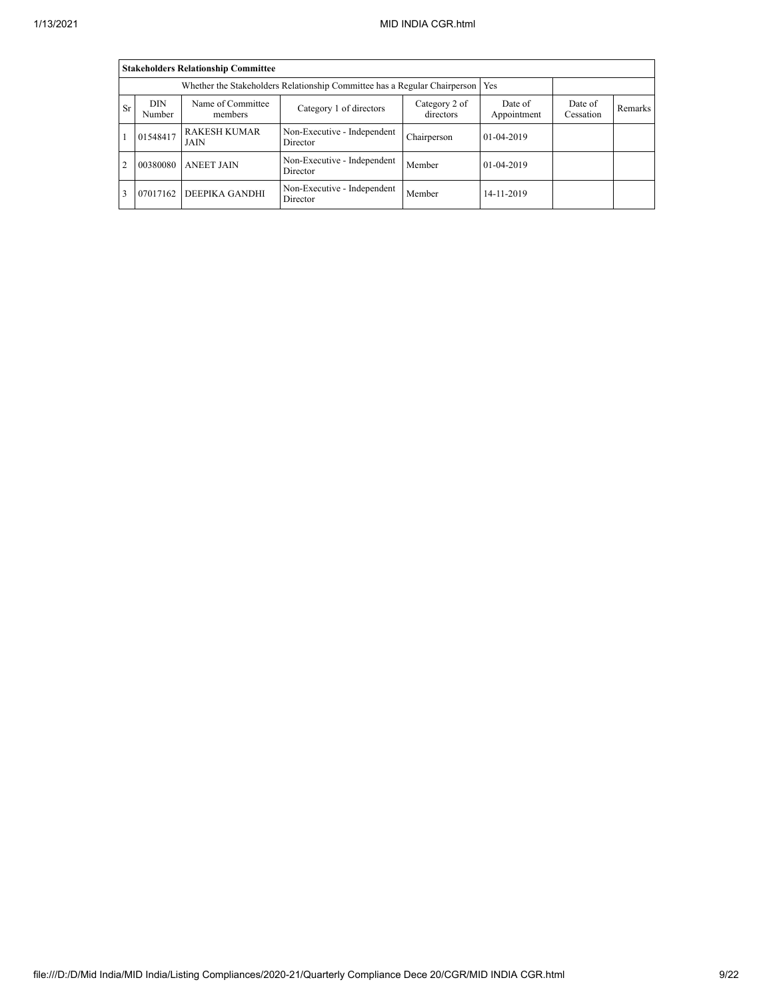|                | <b>Stakeholders Relationship Committee</b>                                |                              |                                         |                            |                        |                      |         |  |  |  |  |  |
|----------------|---------------------------------------------------------------------------|------------------------------|-----------------------------------------|----------------------------|------------------------|----------------------|---------|--|--|--|--|--|
|                | Whether the Stakeholders Relationship Committee has a Regular Chairperson |                              |                                         |                            |                        |                      |         |  |  |  |  |  |
| <b>Sr</b>      | <b>DIN</b><br>Number                                                      | Name of Committee<br>members | Category 1 of directors                 | Category 2 of<br>directors | Date of<br>Appointment | Date of<br>Cessation | Remarks |  |  |  |  |  |
|                | 01548417                                                                  | <b>RAKESH KUMAR</b><br>JAIN  | Non-Executive - Independent<br>Director | Chairperson                | 01-04-2019             |                      |         |  |  |  |  |  |
| $\overline{c}$ | 00380080                                                                  | <b>ANEET JAIN</b>            | Non-Executive - Independent<br>Director | Member                     | 01-04-2019             |                      |         |  |  |  |  |  |
|                | 07017162                                                                  | <b>DEEPIKA GANDHI</b>        | Non-Executive - Independent<br>Director | Member                     | 14-11-2019             |                      |         |  |  |  |  |  |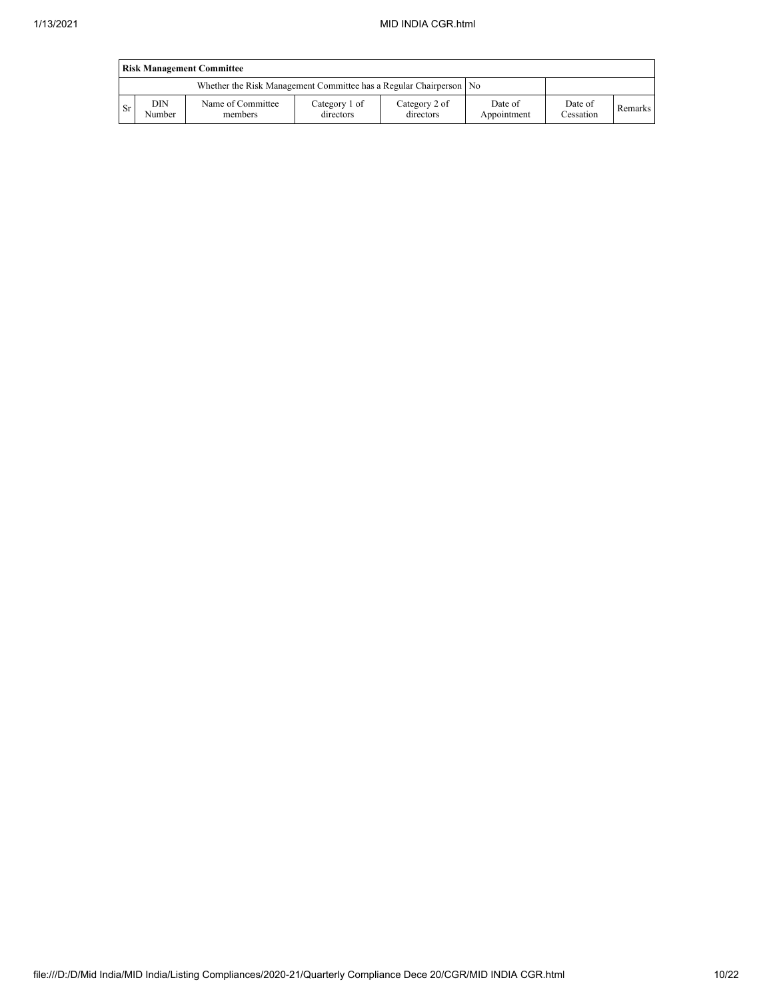|     | <b>Risk Management Committee</b> |                                                                      |                            |                            |                        |                      |         |  |  |  |  |  |
|-----|----------------------------------|----------------------------------------------------------------------|----------------------------|----------------------------|------------------------|----------------------|---------|--|--|--|--|--|
|     |                                  | Whether the Risk Management Committee has a Regular Chairperson   No |                            |                            |                        |                      |         |  |  |  |  |  |
| -Sr | DIN<br>Number                    | Name of Committee<br>members                                         | Category 1 of<br>directors | Category 2 of<br>directors | Date of<br>Appointment | Date of<br>Cessation | Remarks |  |  |  |  |  |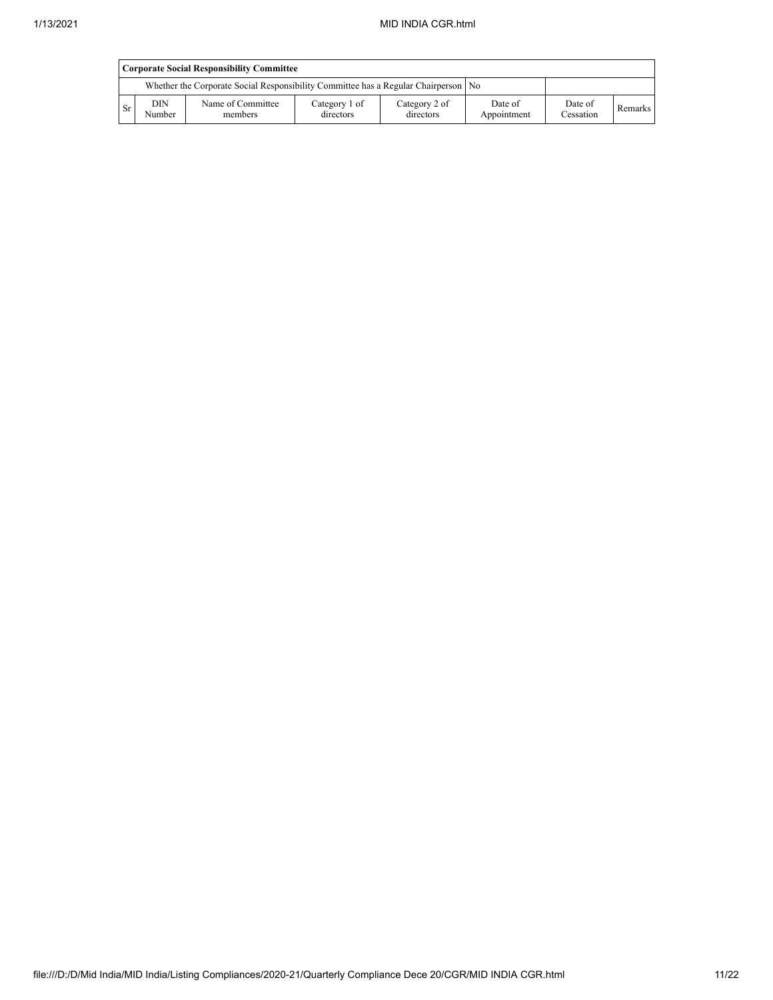l,

|      | <b>Corporate Social Responsibility Committee</b> |                                                                                      |                            |                            |                        |                      |         |  |  |  |  |
|------|--------------------------------------------------|--------------------------------------------------------------------------------------|----------------------------|----------------------------|------------------------|----------------------|---------|--|--|--|--|
|      |                                                  | Whether the Corporate Social Responsibility Committee has a Regular Chairperson   No |                            |                            |                        |                      |         |  |  |  |  |
| - Sr | <b>DIN</b><br>Number                             | Name of Committee<br>members                                                         | Category 1 of<br>directors | Category 2 of<br>directors | Date of<br>Appointment | Date of<br>Cessation | Remarks |  |  |  |  |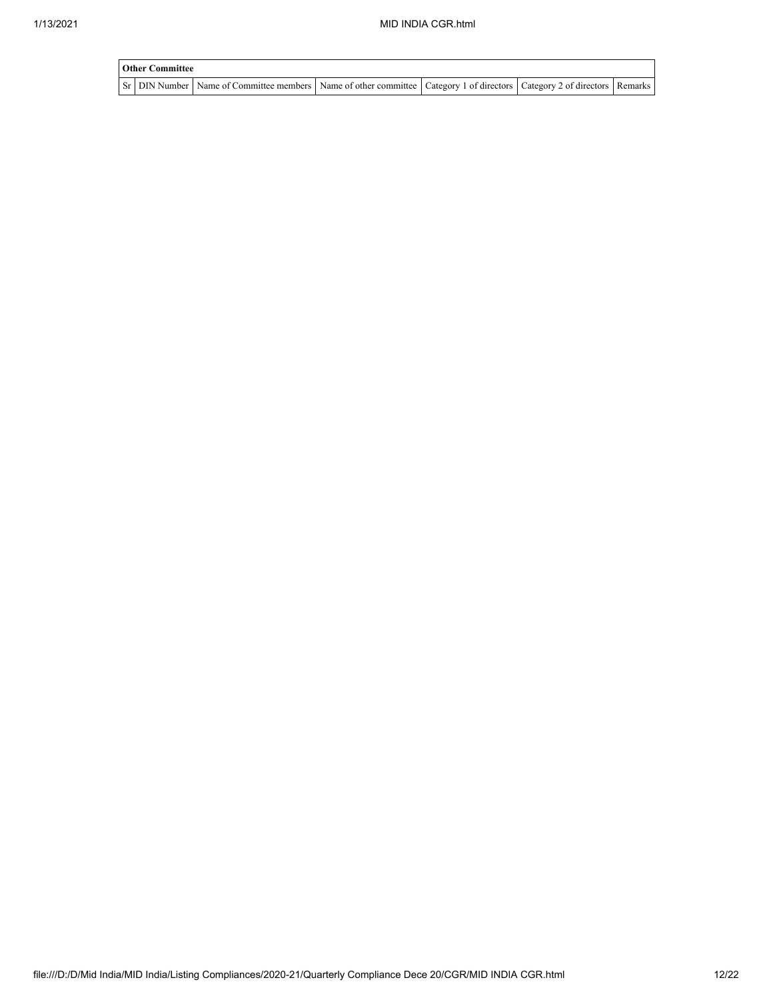| <b>Other Committee</b> |  |                                                                                                                                     |  |  |  |  |  |
|------------------------|--|-------------------------------------------------------------------------------------------------------------------------------------|--|--|--|--|--|
|                        |  | Sr   DIN Number   Name of Committee members   Name of other committee   Category 1 of directors   Category 2 of directors   Remarks |  |  |  |  |  |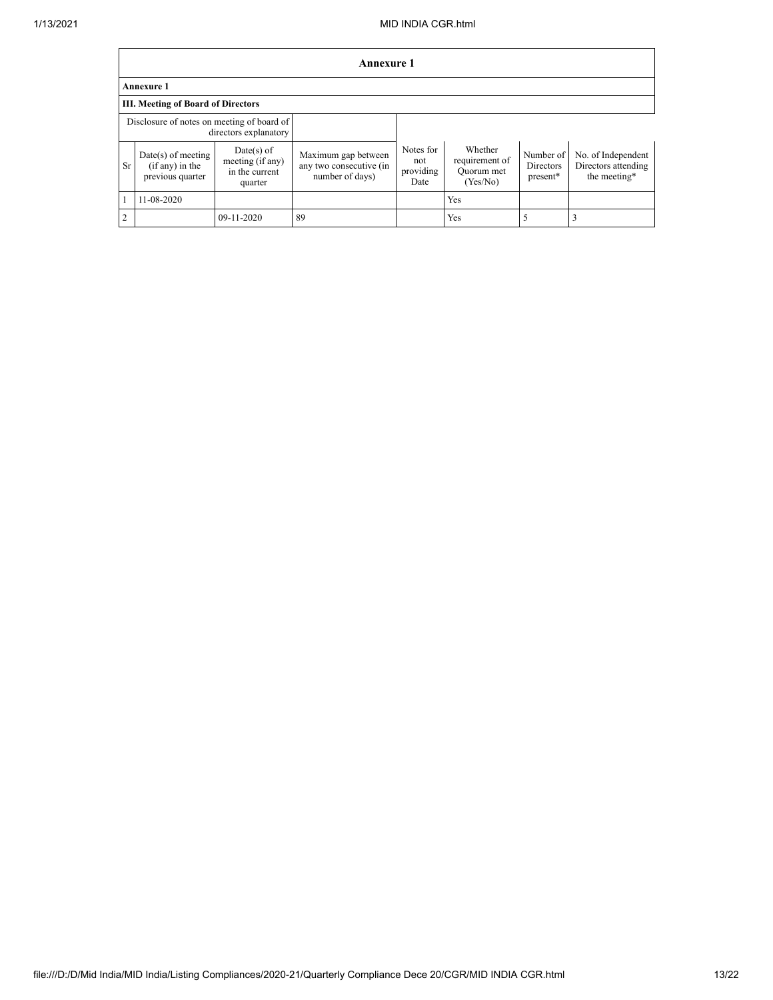|                                                                     | <b>Annexure 1</b>                                           |                                                               |                                                                   |                                       |                                                     |                                    |                                                           |  |
|---------------------------------------------------------------------|-------------------------------------------------------------|---------------------------------------------------------------|-------------------------------------------------------------------|---------------------------------------|-----------------------------------------------------|------------------------------------|-----------------------------------------------------------|--|
| <b>Annexure 1</b>                                                   |                                                             |                                                               |                                                                   |                                       |                                                     |                                    |                                                           |  |
|                                                                     | <b>III. Meeting of Board of Directors</b>                   |                                                               |                                                                   |                                       |                                                     |                                    |                                                           |  |
| Disclosure of notes on meeting of board of<br>directors explanatory |                                                             |                                                               |                                                                   |                                       |                                                     |                                    |                                                           |  |
| Sr                                                                  | $Date(s)$ of meeting<br>(if any) in the<br>previous quarter | $Date(s)$ of<br>meeting (if any)<br>in the current<br>quarter | Maximum gap between<br>any two consecutive (in<br>number of days) | Notes for<br>not<br>providing<br>Date | Whether<br>requirement of<br>Quorum met<br>(Yes/No) | Number of<br>Directors<br>present* | No. of Independent<br>Directors attending<br>the meeting* |  |
|                                                                     | 11-08-2020                                                  |                                                               |                                                                   |                                       | Yes                                                 |                                    |                                                           |  |
| 2                                                                   |                                                             | 09-11-2020                                                    | 89                                                                |                                       | Yes                                                 |                                    |                                                           |  |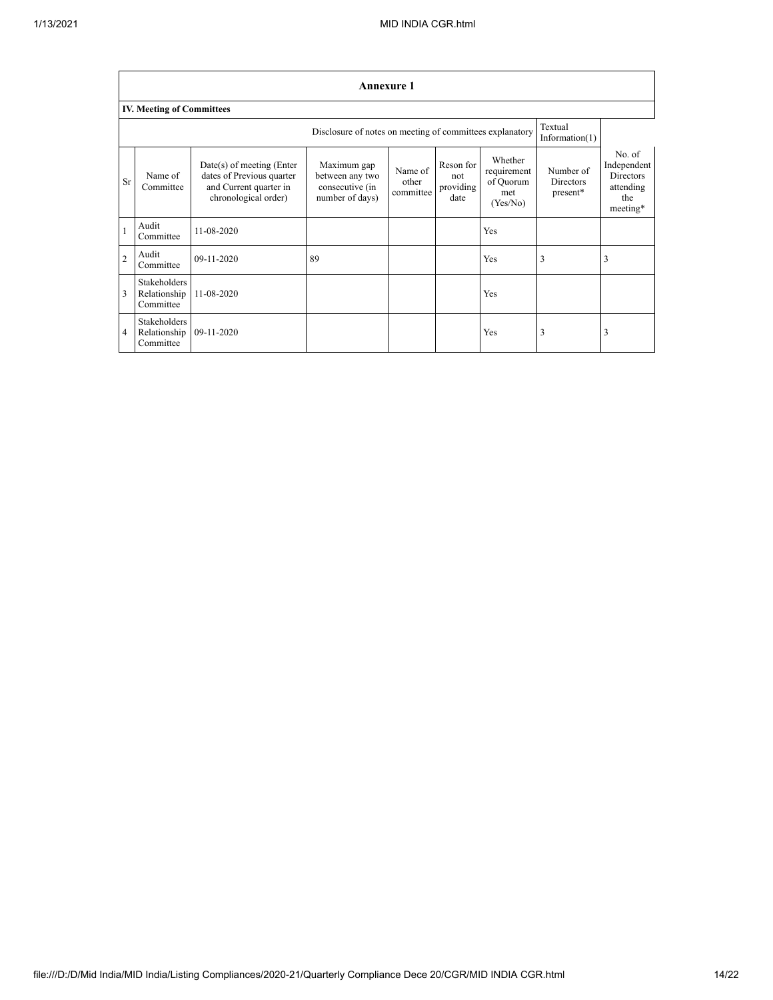|                | <b>Annexure 1</b>                                                                        |                                                                                                            |                                                                      |                               |                                       |                                                        |                                           |                                                                           |
|----------------|------------------------------------------------------------------------------------------|------------------------------------------------------------------------------------------------------------|----------------------------------------------------------------------|-------------------------------|---------------------------------------|--------------------------------------------------------|-------------------------------------------|---------------------------------------------------------------------------|
|                | <b>IV. Meeting of Committees</b>                                                         |                                                                                                            |                                                                      |                               |                                       |                                                        |                                           |                                                                           |
|                | Textual<br>Disclosure of notes on meeting of committees explanatory<br>Information $(1)$ |                                                                                                            |                                                                      |                               |                                       |                                                        |                                           |                                                                           |
| Sr             | Name of<br>Committee                                                                     | $Date(s)$ of meeting (Enter<br>dates of Previous quarter<br>and Current quarter in<br>chronological order) | Maximum gap<br>between any two<br>consecutive (in<br>number of days) | Name of<br>other<br>committee | Reson for<br>not<br>providing<br>date | Whether<br>requirement<br>of Quorum<br>met<br>(Yes/No) | Number of<br><b>Directors</b><br>present* | No. of<br>Independent<br><b>Directors</b><br>attending<br>the<br>meeting* |
|                | Audit<br>Committee                                                                       | 11-08-2020                                                                                                 |                                                                      |                               |                                       | <b>Yes</b>                                             |                                           |                                                                           |
| $\overline{2}$ | Audit<br>Committee                                                                       | 09-11-2020                                                                                                 | 89                                                                   |                               |                                       | <b>Yes</b>                                             | 3                                         | 3                                                                         |
| 3              | <b>Stakeholders</b><br>Relationship<br>Committee                                         | 11-08-2020                                                                                                 |                                                                      |                               |                                       | Yes                                                    |                                           |                                                                           |
| 4              | Stakeholders<br>Relationship<br>Committee                                                | 09-11-2020                                                                                                 |                                                                      |                               |                                       | Yes                                                    | 3                                         | 3                                                                         |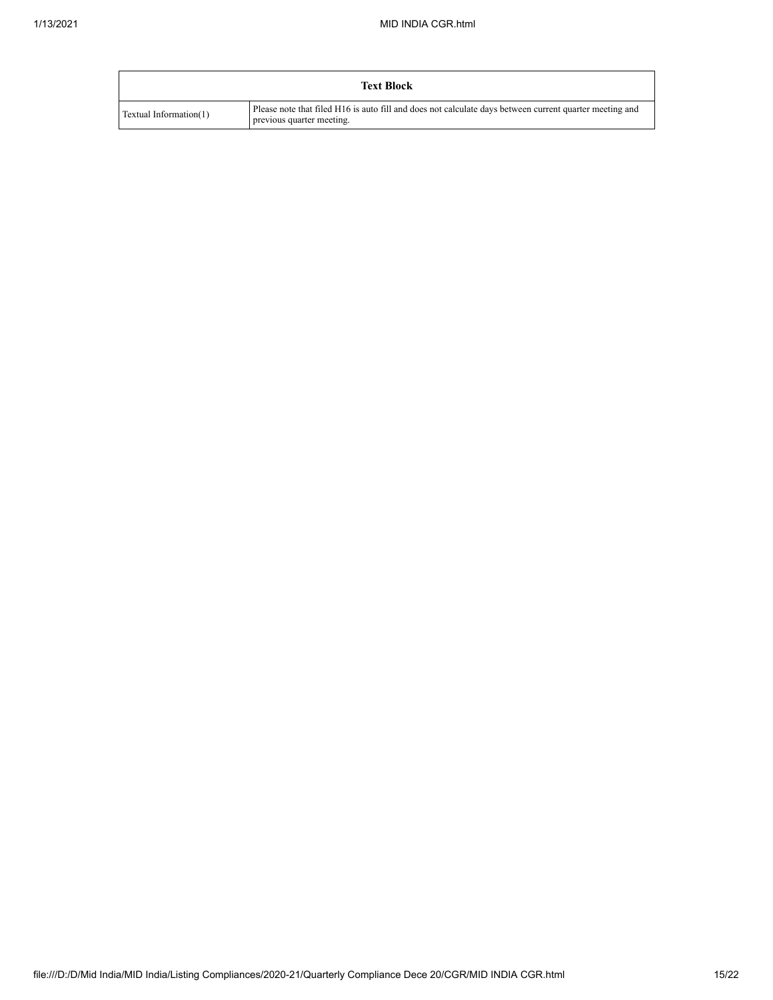|                        | <b>Text Block</b>                                                                                                                    |
|------------------------|--------------------------------------------------------------------------------------------------------------------------------------|
| Textual Information(1) | Please note that filed H16 is auto fill and does not calculate days between current quarter meeting and<br>previous quarter meeting. |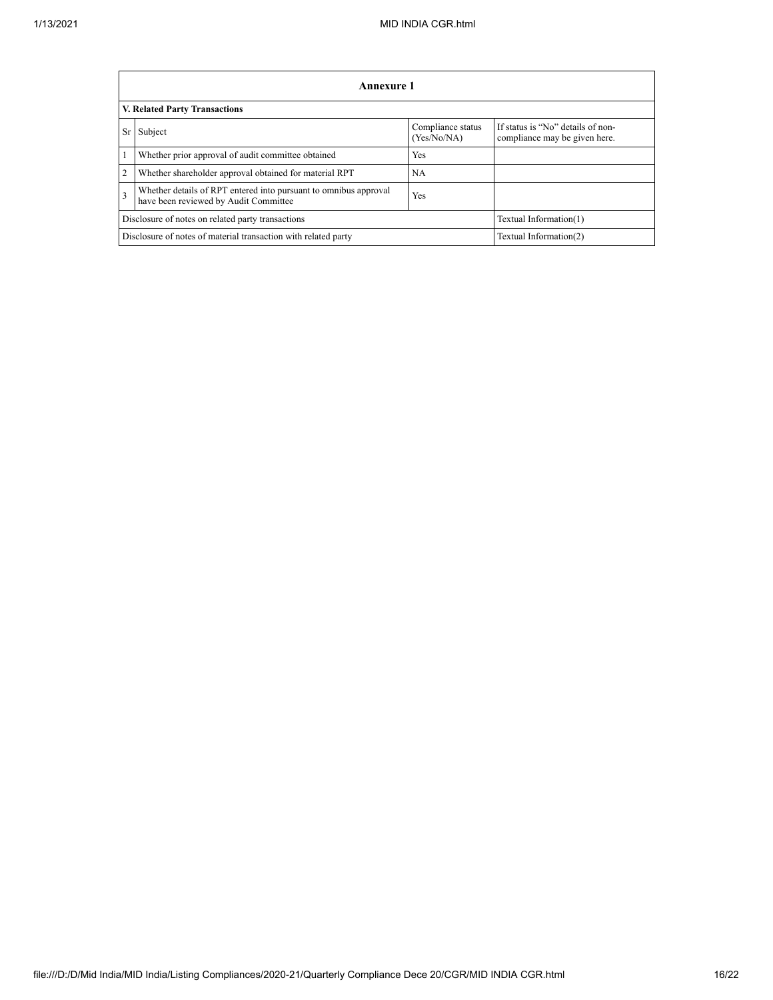|                | Annexure 1                                                                                                       |                                  |                                                                    |  |  |  |
|----------------|------------------------------------------------------------------------------------------------------------------|----------------------------------|--------------------------------------------------------------------|--|--|--|
|                | V. Related Party Transactions                                                                                    |                                  |                                                                    |  |  |  |
| Sr             | Subject                                                                                                          | Compliance status<br>(Yes/No/NA) | If status is "No" details of non-<br>compliance may be given here. |  |  |  |
|                | Whether prior approval of audit committee obtained                                                               | <b>Yes</b>                       |                                                                    |  |  |  |
| $\overline{2}$ | Whether shareholder approval obtained for material RPT                                                           | <b>NA</b>                        |                                                                    |  |  |  |
| 3              | Whether details of RPT entered into pursuant to omnibus approval<br>Yes<br>have been reviewed by Audit Committee |                                  |                                                                    |  |  |  |
|                | Disclosure of notes on related party transactions<br>Textual Information(1)                                      |                                  |                                                                    |  |  |  |
|                | Disclosure of notes of material transaction with related party<br>Textual Information(2)                         |                                  |                                                                    |  |  |  |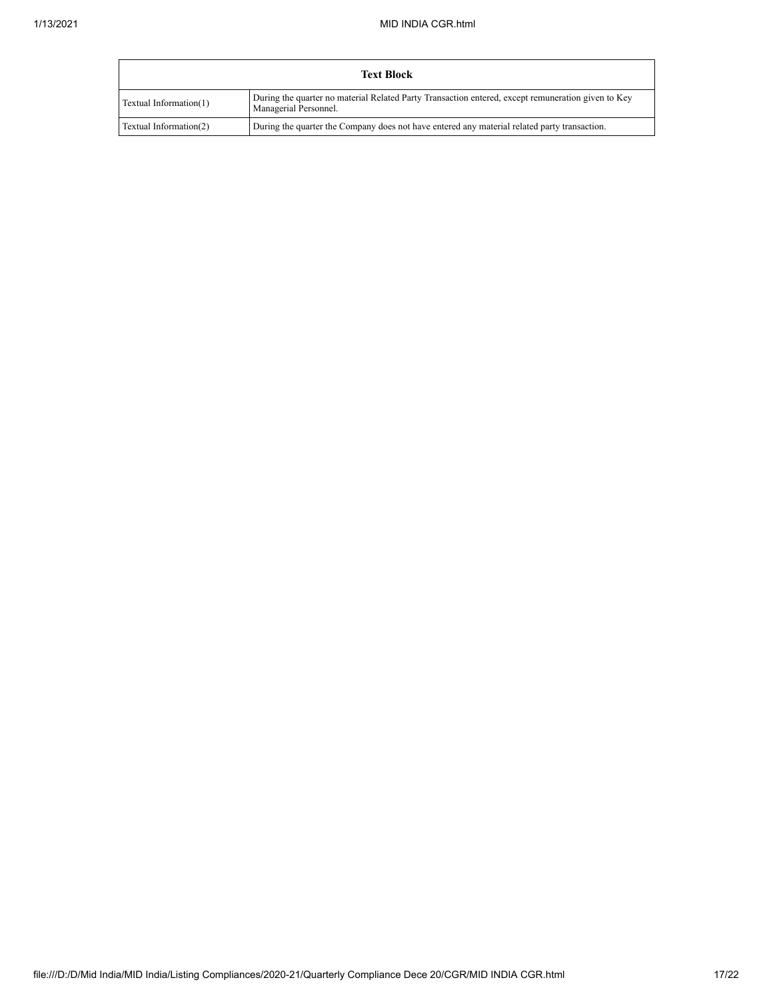| <b>Text Block</b>      |                                                                                                                             |  |  |  |
|------------------------|-----------------------------------------------------------------------------------------------------------------------------|--|--|--|
| Textual Information(1) | During the quarter no material Related Party Transaction entered, except remuneration given to Key<br>Managerial Personnel. |  |  |  |
| Textual Information(2) | During the quarter the Company does not have entered any material related party transaction.                                |  |  |  |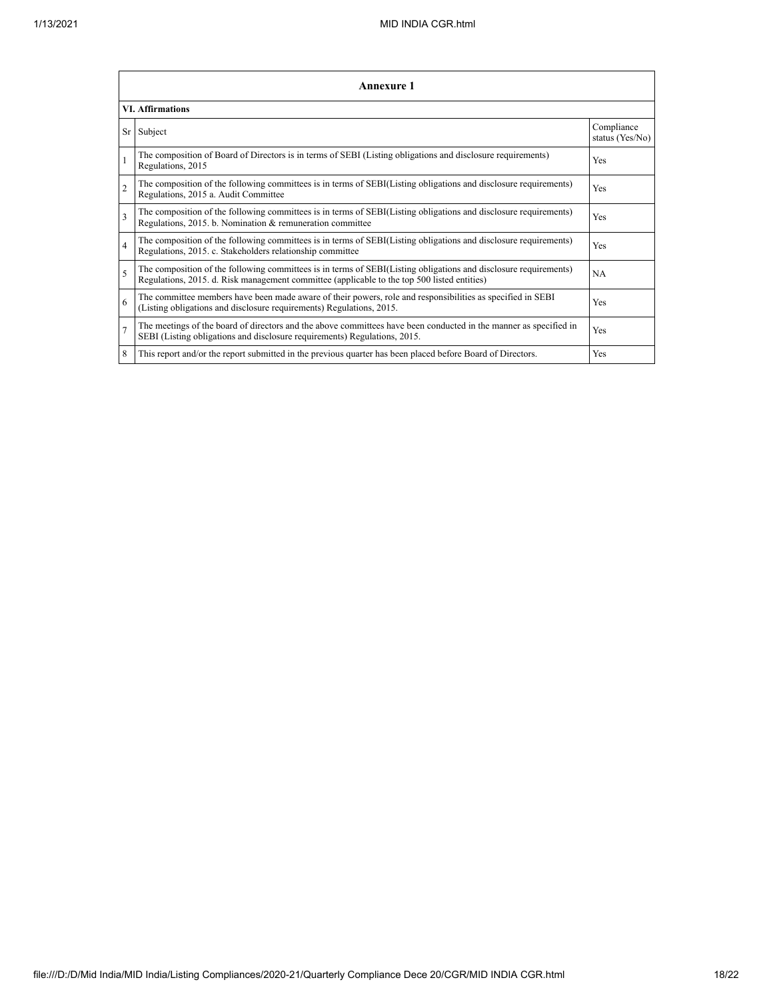|                          | <b>Annexure 1</b>                                                                                                                                                                                               |                               |  |  |  |
|--------------------------|-----------------------------------------------------------------------------------------------------------------------------------------------------------------------------------------------------------------|-------------------------------|--|--|--|
|                          | <b>VI. Affirmations</b>                                                                                                                                                                                         |                               |  |  |  |
| Sr                       | Subject                                                                                                                                                                                                         | Compliance<br>status (Yes/No) |  |  |  |
| $\mathbf{1}$             | The composition of Board of Directors is in terms of SEBI (Listing obligations and disclosure requirements)<br>Regulations, 2015                                                                                | Yes                           |  |  |  |
| $\overline{c}$           | The composition of the following committees is in terms of SEBI(Listing obligations and disclosure requirements)<br>Regulations, 2015 a. Audit Committee                                                        | Yes                           |  |  |  |
| 3                        | The composition of the following committees is in terms of SEBI(Listing obligations and disclosure requirements)<br>Regulations, 2015. b. Nomination & remuneration committee                                   | Yes                           |  |  |  |
| $\overline{4}$           | The composition of the following committees is in terms of SEBI(Listing obligations and disclosure requirements)<br>Regulations, 2015. c. Stakeholders relationship committee                                   | Yes                           |  |  |  |
| $\overline{\phantom{0}}$ | The composition of the following committees is in terms of SEBI(Listing obligations and disclosure requirements)<br>Regulations, 2015. d. Risk management committee (applicable to the top 500 listed entities) | NA                            |  |  |  |
| 6                        | The committee members have been made aware of their powers, role and responsibilities as specified in SEBI<br>(Listing obligations and disclosure requirements) Regulations, 2015.                              | Yes                           |  |  |  |
| $\overline{7}$           | The meetings of the board of directors and the above committees have been conducted in the manner as specified in<br>SEBI (Listing obligations and disclosure requirements) Regulations, 2015.                  | Yes                           |  |  |  |
| 8                        | This report and/or the report submitted in the previous quarter has been placed before Board of Directors.                                                                                                      | Yes                           |  |  |  |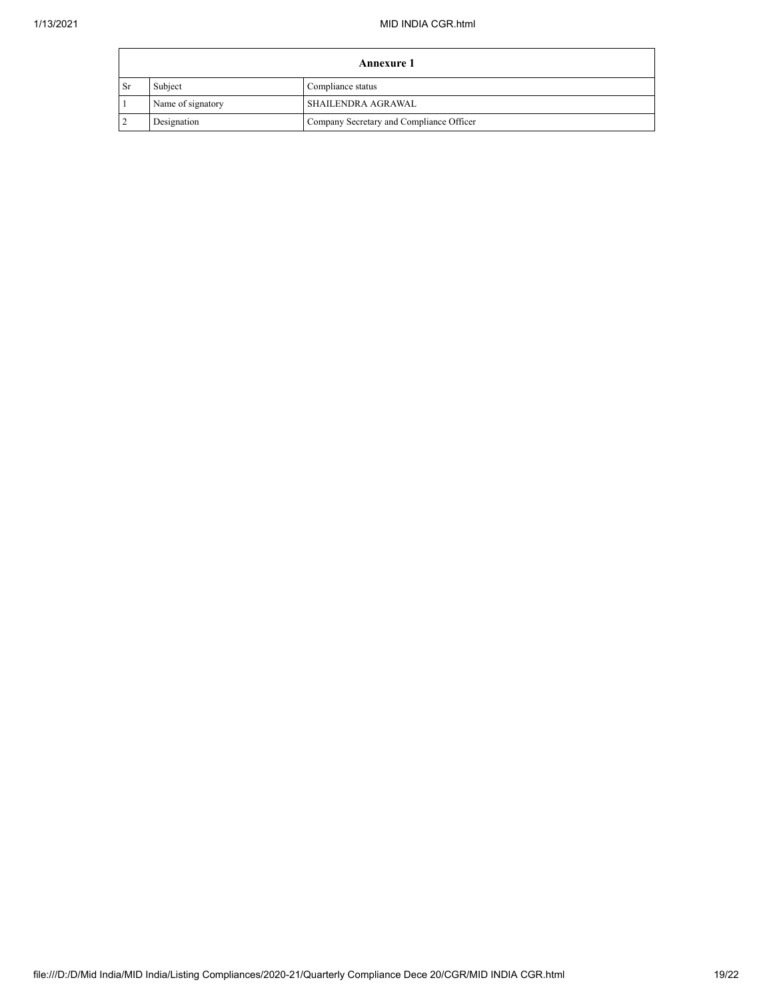| <b>Annexure 1</b> |                              |                                          |  |  |
|-------------------|------------------------------|------------------------------------------|--|--|
| - Sr              | Subject<br>Compliance status |                                          |  |  |
|                   | Name of signatory            | SHAILENDRA AGRAWAL                       |  |  |
|                   | Designation                  | Company Secretary and Compliance Officer |  |  |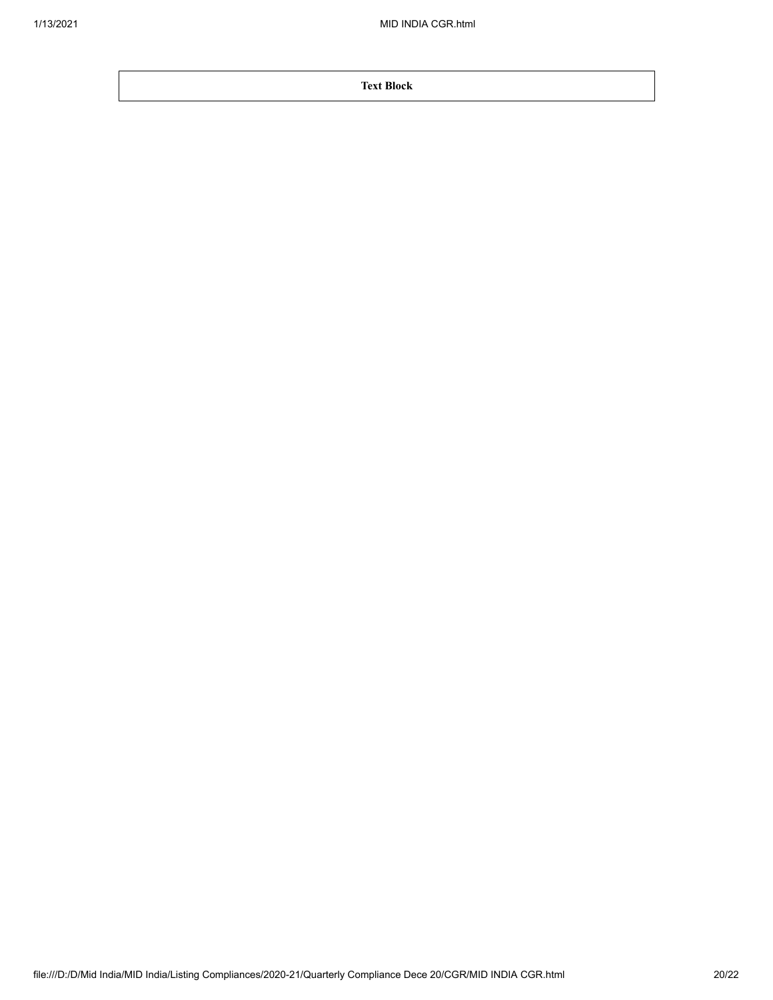**Text Block**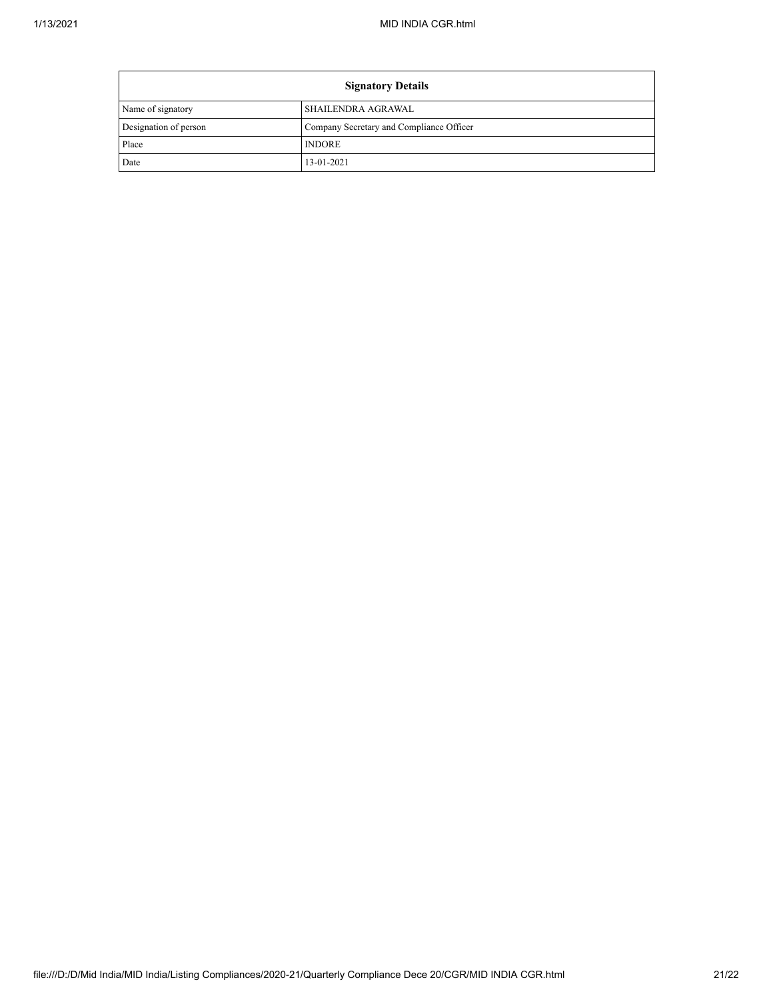| <b>Signatory Details</b> |                                          |  |
|--------------------------|------------------------------------------|--|
| Name of signatory        | SHAILENDRA AGRAWAL                       |  |
| Designation of person    | Company Secretary and Compliance Officer |  |
| Place                    | <b>INDORE</b>                            |  |
| Date                     | 13-01-2021                               |  |